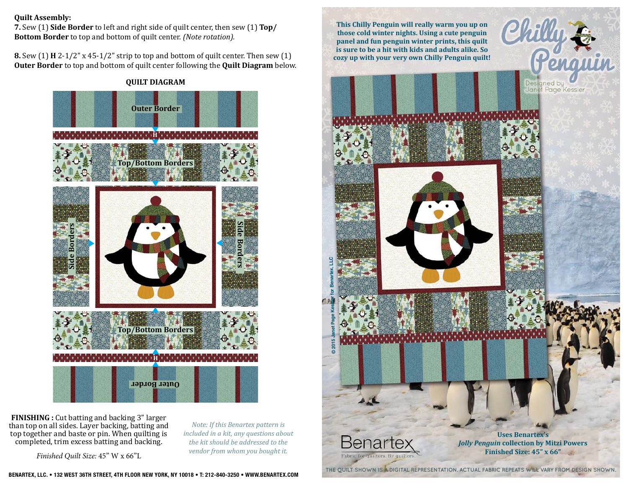## **Quilt Assembly:**

**7.** Sew (1) **Side Border** to left and right side of quilt center, then sew (1) **Top/ Bottom Border** to top and bottom of quilt center. *(Note rotation).* 

**8.** Sew (1) **H** 2-1/2" x 45-1/2" strip to top and bottom of quilt center. Then sew (1) **Outer Border** to top and bottom of quilt center following the **Quilt Diagram** below.

> **QUILT DIAGRAM Outer Border H Top/Bottom Borders Side Borders Side Borders**  $\overline{B}$ **Top/Bottom Borders HOuter Border**

**FINISHING :** Cut batting and backing 3" larger than top on all sides. Layer backing, batting and top together and baste or pin. When quilting is completed, trim excess batting and backing.

*Finished Quilt Size:* 45" W x 66"L

*Note: If this Benartex pattern is included in a kit, any questions about the kit should be addressed to the vendor from whom you bought it.*